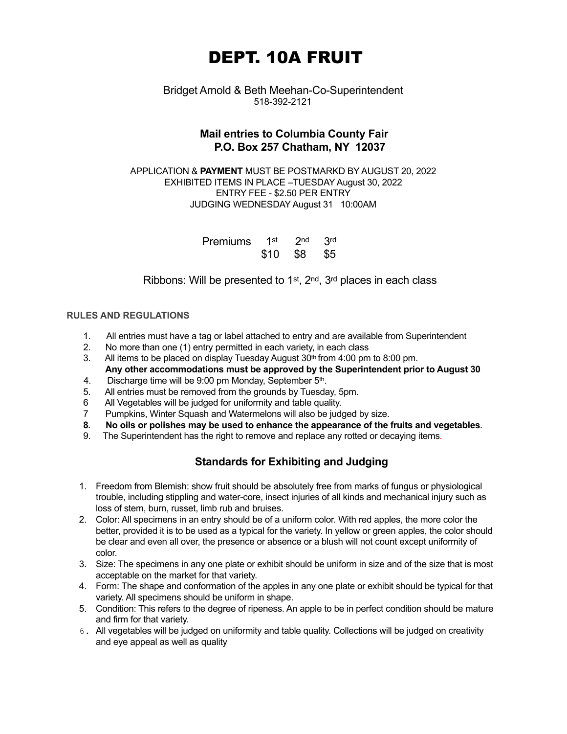# DEPT. 10A FRUIT

## Bridget Arnold & Beth Meehan-Co-Superintendent 518-392-2121

## **Mail entries to Columbia County Fair P.O. Box 257 Chatham, NY 12037**

APPLICATION & **PAYMENT** MUST BE POSTMARKD BY AUGUST 20, 2022 EXHIBITED ITEMS IN PLACE –TUESDAY August 30, 2022 ENTRY FEE - \$2.50 PER ENTRY JUDGING WEDNESDAY August 31 10:00AM

| Premiums 1st 2nd 3rd |              |  |
|----------------------|--------------|--|
|                      | \$10 \$8 \$5 |  |

Ribbons: Will be presented to  $1<sup>st</sup>$ ,  $2<sup>nd</sup>$ ,  $3<sup>rd</sup>$  places in each class

## **RULES AND REGULATIONS**

- 1. All entries must have a tag or label attached to entry and are available from Superintendent
- 2. No more than one (1) entry permitted in each variety, in each class
- 3. All items to be placed on display Tuesday August  $30<sup>th</sup>$  from 4:00 pm to 8:00 pm. **Any other accommodations must be approved by the Superintendent prior to August 30**
- 4. Discharge time will be 9:00 pm Monday, September 5th.
- 5. All entries must be removed from the grounds by Tuesday, 5pm.
- 6 All Vegetables will be judged for uniformity and table quality.
- 7 Pumpkins, Winter Squash and Watermelons will also be judged by size.
- **8. No oils or polishes may be used to enhance the appearance of the fruits and vegetables**.
- 9. The Superintendent has the right to remove and replace any rotted or decaying items.

# **Standards for Exhibiting and Judging**

- 1. Freedom from Blemish: show fruit should be absolutely free from marks of fungus or physiological trouble, including stippling and water-core, insect injuries of all kinds and mechanical injury such as loss of stem, burn, russet, limb rub and bruises.
- 2. Color: All specimens in an entry should be of a uniform color. With red apples, the more color the better, provided it is to be used as a typical for the variety. In yellow or green apples, the color should be clear and even all over, the presence or absence or a blush will not count except uniformity of color.
- 3. Size: The specimens in any one plate or exhibit should be uniform in size and of the size that is most acceptable on the market for that variety.
- 4. Form: The shape and conformation of the apples in any one plate or exhibit should be typical for that variety. All specimens should be uniform in shape.
- 5. Condition: This refers to the degree of ripeness. An apple to be in perfect condition should be mature and firm for that variety.
- 6. All vegetables will be judged on uniformity and table quality. Collections will be judged on creativity and eye appeal as well as quality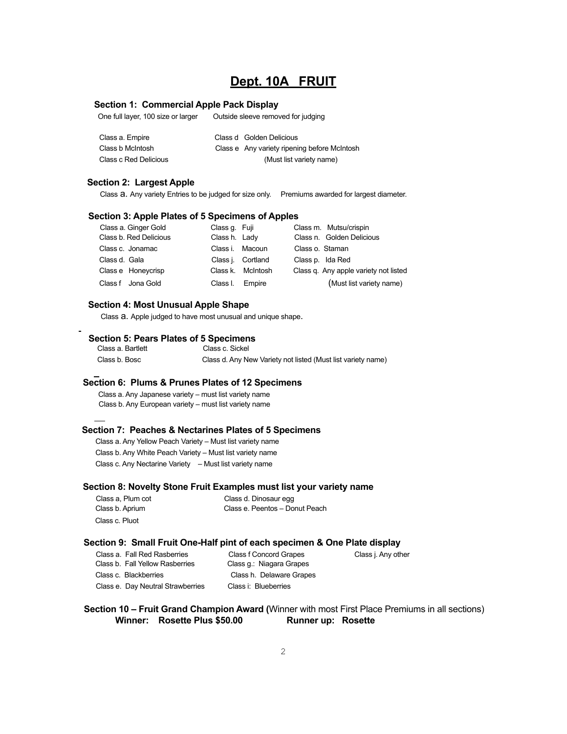## **Dept. 10A FRUIT**

#### **Section 1: Commercial Apple Pack Display**

One full layer, 100 size or larger Outside sleeve removed for judging

| Class a. Empire       | Class d Golden Delicious                     |
|-----------------------|----------------------------------------------|
| Class b McIntosh      | Class e Any variety ripening before McIntosh |
| Class c Red Delicious | (Must list variety name)                     |

#### **Section 2: Largest Apple**

Class a. Any variety Entries to be judged for size only. Premiums awarded for largest diameter.

#### **Section 3: Apple Plates of 5 Specimens of Apples**

| Class a. Ginger Gold   | Class q. Fuji   |                   | Class m. Mutsu/crispin                |
|------------------------|-----------------|-------------------|---------------------------------------|
| Class b. Red Delicious | Class h. Lady   |                   | Class n. Golden Delicious             |
| Class c. Jonamac       | Class i. Macoun |                   | Class o. Staman                       |
| Class d. Gala          |                 | Class j. Cortland | Class p. Ida Red                      |
| Class e Honeycrisp     |                 | Class k. McIntosh | Class q. Any apple variety not listed |
| Class f Jona Gold      | Class I.        | Empire            | (Must list variety name)              |

#### **Section 4: Most Unusual Apple Shape**

Class a. Apple judged to have most unusual and unique shape.

#### **Section 5: Pears Plates of 5 Specimens**

 Class a. Bartlett Class c. Sickel Class b. Bosc Class d. Any New Variety not listed (Must list variety name)

#### **Section 6: Plums & Prunes Plates of 12 Specimens**

Class a. Any Japanese variety – must list variety name Class b. Any European variety – must list variety name

#### **Section 7: Peaches & Nectarines Plates of 5 Specimens**

 Class a. Any Yellow Peach Variety – Must list variety name Class b. Any White Peach Variety – Must list variety name Class c. Any Nectarine Variety – Must list variety name

#### **Section 8: Novelty Stone Fruit Examples must list your variety name**

| Class a. Plum cot | Class d. Dinosaur egg          |
|-------------------|--------------------------------|
| Class b. Aprium   | Class e. Peentos - Donut Peach |
| Class c. Pluot    |                                |

#### **Section 9: Small Fruit One-Half pint of each specimen & One Plate display**

| Class a. Fall Red Rasberries      |   |
|-----------------------------------|---|
| Class b. Fall Yellow Rasberries   | C |
| Class c. Blackberries             |   |
| Class e. Day Neutral Strawberries | C |

Class f Concord Grapes Class j. Any other Class g.: Niagara Grapes Class h. Delaware Grapes Class i: Blueberries

 **Section 10 – Fruit Grand Champion Award (**Winner with most First Place Premiums in all sections) **Winner: Rosette Plus \$50.00 Runner up: Rosette**